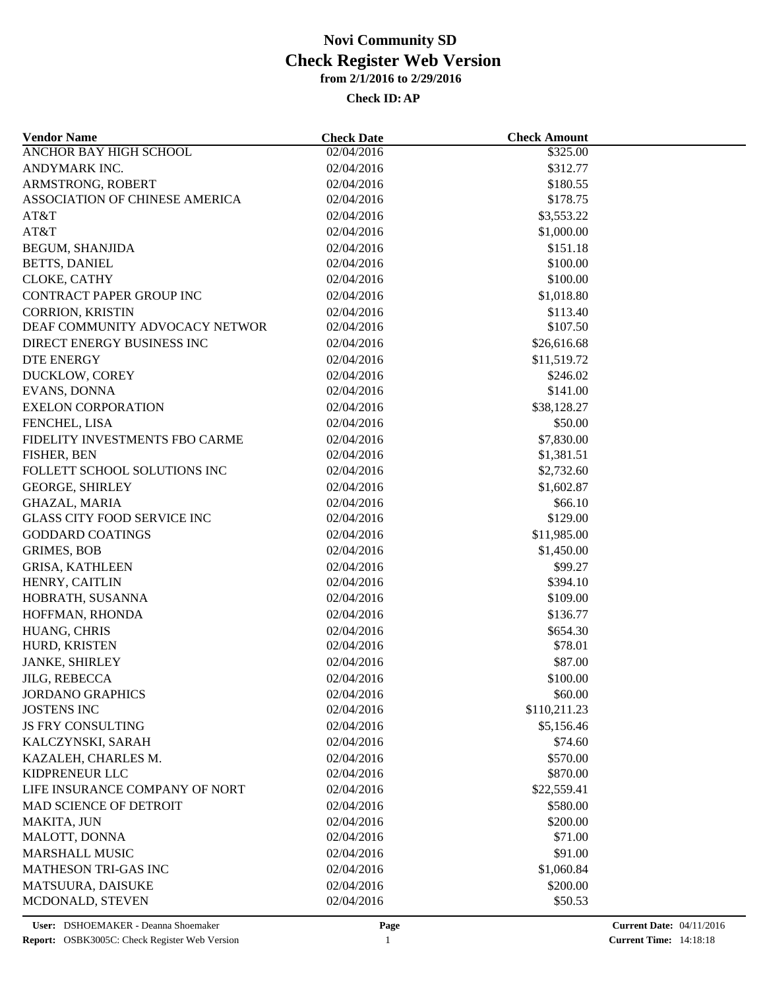| <b>Vendor Name</b>                    | <b>Check Date</b>        | <b>Check Amount</b>  |  |
|---------------------------------------|--------------------------|----------------------|--|
| <b>ANCHOR BAY HIGH SCHOOL</b>         | 02/04/2016               | \$325.00             |  |
| ANDYMARK INC.                         | 02/04/2016               | \$312.77             |  |
| ARMSTRONG, ROBERT                     | 02/04/2016               | \$180.55             |  |
| ASSOCIATION OF CHINESE AMERICA        | 02/04/2016               | \$178.75             |  |
| AT&T                                  | 02/04/2016               | \$3,553.22           |  |
| AT&T                                  | 02/04/2016               | \$1,000.00           |  |
| <b>BEGUM, SHANJIDA</b>                | 02/04/2016               | \$151.18             |  |
| BETTS, DANIEL                         | 02/04/2016               | \$100.00             |  |
| CLOKE, CATHY                          | 02/04/2016               | \$100.00             |  |
| CONTRACT PAPER GROUP INC              | 02/04/2016               | \$1,018.80           |  |
| <b>CORRION, KRISTIN</b>               | 02/04/2016               | \$113.40             |  |
| DEAF COMMUNITY ADVOCACY NETWOR        | 02/04/2016               | \$107.50             |  |
| DIRECT ENERGY BUSINESS INC            | 02/04/2016               | \$26,616.68          |  |
| DTE ENERGY                            | 02/04/2016               | \$11,519.72          |  |
| DUCKLOW, COREY                        | 02/04/2016               | \$246.02             |  |
| EVANS, DONNA                          | 02/04/2016               | \$141.00             |  |
| <b>EXELON CORPORATION</b>             | 02/04/2016               | \$38,128.27          |  |
| FENCHEL, LISA                         | 02/04/2016               | \$50.00              |  |
| FIDELITY INVESTMENTS FBO CARME        | 02/04/2016               | \$7,830.00           |  |
| FISHER, BEN                           | 02/04/2016               | \$1,381.51           |  |
| FOLLETT SCHOOL SOLUTIONS INC          | 02/04/2016               | \$2,732.60           |  |
| <b>GEORGE, SHIRLEY</b>                | 02/04/2016               | \$1,602.87           |  |
| <b>GHAZAL, MARIA</b>                  | 02/04/2016               | \$66.10              |  |
| <b>GLASS CITY FOOD SERVICE INC</b>    | 02/04/2016               | \$129.00             |  |
| <b>GODDARD COATINGS</b>               | 02/04/2016               | \$11,985.00          |  |
| <b>GRIMES, BOB</b>                    | 02/04/2016               | \$1,450.00           |  |
| <b>GRISA, KATHLEEN</b>                | 02/04/2016               | \$99.27              |  |
| HENRY, CAITLIN                        | 02/04/2016               | \$394.10             |  |
| HOBRATH, SUSANNA                      | 02/04/2016               | \$109.00             |  |
| HOFFMAN, RHONDA                       | 02/04/2016               | \$136.77             |  |
| HUANG, CHRIS                          |                          | \$654.30             |  |
| HURD, KRISTEN                         | 02/04/2016<br>02/04/2016 | \$78.01              |  |
| JANKE, SHIRLEY                        | 02/04/2016               | \$87.00              |  |
| <b>JILG, REBECCA</b>                  | 02/04/2016               | \$100.00             |  |
| <b>JORDANO GRAPHICS</b>               | 02/04/2016               | \$60.00              |  |
| <b>JOSTENS INC</b>                    | 02/04/2016               | \$110,211.23         |  |
| <b>JS FRY CONSULTING</b>              | 02/04/2016               | \$5,156.46           |  |
|                                       | 02/04/2016               |                      |  |
| KALCZYNSKI, SARAH                     |                          | \$74.60              |  |
| KAZALEH, CHARLES M.<br>KIDPRENEUR LLC | 02/04/2016<br>02/04/2016 | \$570.00<br>\$870.00 |  |
| LIFE INSURANCE COMPANY OF NORT        |                          | \$22,559.41          |  |
|                                       | 02/04/2016               |                      |  |
| <b>MAD SCIENCE OF DETROIT</b>         | 02/04/2016               | \$580.00             |  |
| MAKITA, JUN                           | 02/04/2016               | \$200.00             |  |
| MALOTT, DONNA                         | 02/04/2016               | \$71.00              |  |
| <b>MARSHALL MUSIC</b>                 | 02/04/2016               | \$91.00              |  |
| MATHESON TRI-GAS INC                  | 02/04/2016               | \$1,060.84           |  |
| MATSUURA, DAISUKE                     | 02/04/2016               | \$200.00             |  |
| MCDONALD, STEVEN                      | 02/04/2016               | \$50.53              |  |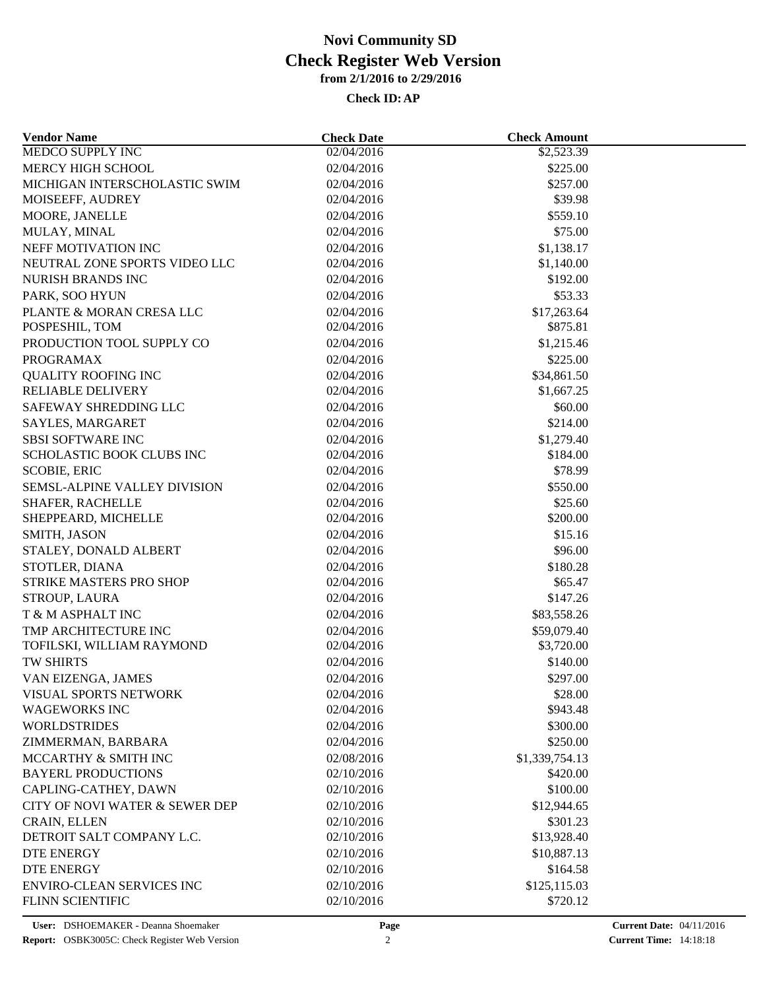| <b>Vendor Name</b>               | <b>Check Date</b>        | <b>Check Amount</b> |  |
|----------------------------------|--------------------------|---------------------|--|
| <b>MEDCO SUPPLY INC</b>          | 02/04/2016               | \$2,523.39          |  |
| MERCY HIGH SCHOOL                | 02/04/2016               | \$225.00            |  |
| MICHIGAN INTERSCHOLASTIC SWIM    | 02/04/2016               | \$257.00            |  |
| MOISEEFF, AUDREY                 | 02/04/2016               | \$39.98             |  |
| MOORE, JANELLE                   | 02/04/2016               | \$559.10            |  |
| MULAY, MINAL                     | 02/04/2016               | \$75.00             |  |
| NEFF MOTIVATION INC              | 02/04/2016               | \$1,138.17          |  |
| NEUTRAL ZONE SPORTS VIDEO LLC    | 02/04/2016               | \$1,140.00          |  |
| NURISH BRANDS INC                | 02/04/2016               | \$192.00            |  |
| PARK, SOO HYUN                   | 02/04/2016               | \$53.33             |  |
| PLANTE & MORAN CRESA LLC         | 02/04/2016               | \$17,263.64         |  |
| POSPESHIL, TOM                   | 02/04/2016               | \$875.81            |  |
| PRODUCTION TOOL SUPPLY CO        | 02/04/2016               | \$1,215.46          |  |
| <b>PROGRAMAX</b>                 | 02/04/2016               | \$225.00            |  |
| <b>QUALITY ROOFING INC</b>       | 02/04/2016               | \$34,861.50         |  |
| <b>RELIABLE DELIVERY</b>         | 02/04/2016               | \$1,667.25          |  |
| SAFEWAY SHREDDING LLC            | 02/04/2016               | \$60.00             |  |
| SAYLES, MARGARET                 | 02/04/2016               | \$214.00            |  |
| <b>SBSI SOFTWARE INC</b>         | 02/04/2016               | \$1,279.40          |  |
| SCHOLASTIC BOOK CLUBS INC        | 02/04/2016               | \$184.00            |  |
| <b>SCOBIE, ERIC</b>              | 02/04/2016               | \$78.99             |  |
| SEMSL-ALPINE VALLEY DIVISION     | 02/04/2016               | \$550.00            |  |
| <b>SHAFER, RACHELLE</b>          | 02/04/2016               | \$25.60             |  |
| SHEPPEARD, MICHELLE              | 02/04/2016               | \$200.00            |  |
| SMITH, JASON                     | 02/04/2016               | \$15.16             |  |
| STALEY, DONALD ALBERT            | 02/04/2016               | \$96.00             |  |
| STOTLER, DIANA                   | 02/04/2016               | \$180.28            |  |
| STRIKE MASTERS PRO SHOP          | 02/04/2016               | \$65.47             |  |
| STROUP, LAURA                    | 02/04/2016               | \$147.26            |  |
| T & M ASPHALT INC                | 02/04/2016               | \$83,558.26         |  |
| TMP ARCHITECTURE INC             | 02/04/2016               | \$59,079.40         |  |
| TOFILSKI, WILLIAM RAYMOND        | 02/04/2016               | \$3,720.00          |  |
| TW SHIRTS                        | 02/04/2016               | \$140.00            |  |
| VAN EIZENGA, JAMES               | 02/04/2016               | \$297.00            |  |
| VISUAL SPORTS NETWORK            |                          | \$28.00             |  |
| <b>WAGEWORKS INC</b>             | 02/04/2016<br>02/04/2016 | \$943.48            |  |
| <b>WORLDSTRIDES</b>              |                          |                     |  |
|                                  | 02/04/2016               | \$300.00            |  |
| ZIMMERMAN, BARBARA               | 02/04/2016               | \$250.00            |  |
| MCCARTHY & SMITH INC             | 02/08/2016               | \$1,339,754.13      |  |
| <b>BAYERL PRODUCTIONS</b>        | 02/10/2016               | \$420.00            |  |
| CAPLING-CATHEY, DAWN             | 02/10/2016               | \$100.00            |  |
| CITY OF NOVI WATER & SEWER DEP   | 02/10/2016               | \$12,944.65         |  |
| CRAIN, ELLEN                     | 02/10/2016               | \$301.23            |  |
| DETROIT SALT COMPANY L.C.        | 02/10/2016               | \$13,928.40         |  |
| DTE ENERGY                       | 02/10/2016               | \$10,887.13         |  |
| DTE ENERGY                       | 02/10/2016               | \$164.58            |  |
| <b>ENVIRO-CLEAN SERVICES INC</b> | 02/10/2016               | \$125,115.03        |  |
| FLINN SCIENTIFIC                 | 02/10/2016               | \$720.12            |  |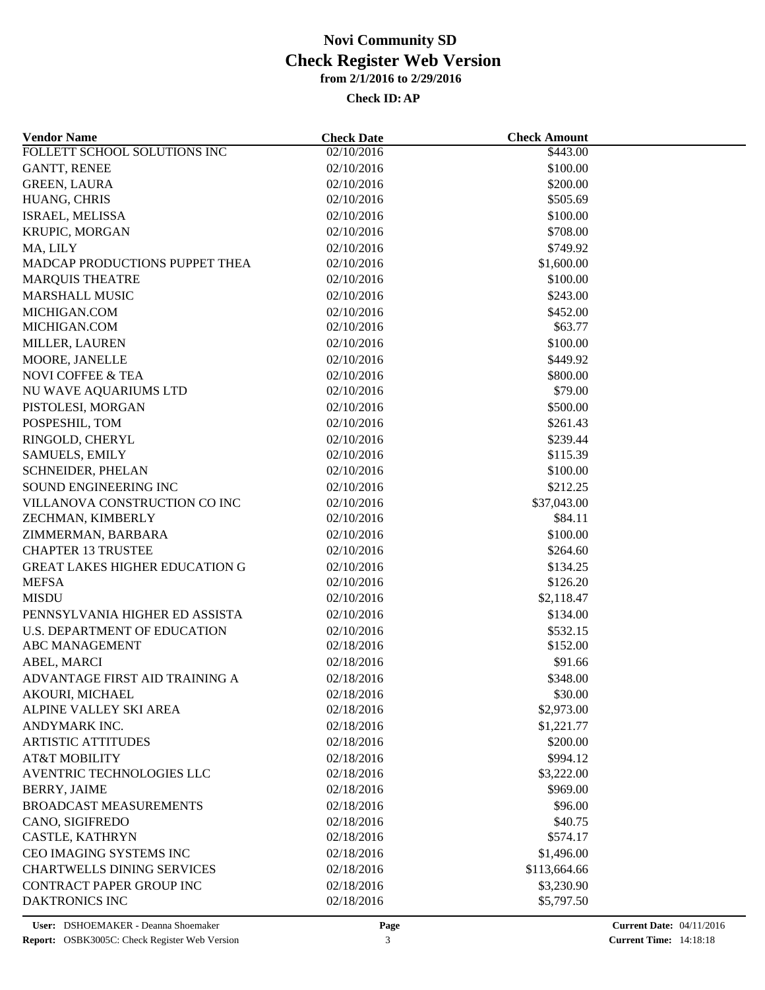| <b>Vendor Name</b>                                    | <b>Check Date</b> | <b>Check Amount</b> |  |
|-------------------------------------------------------|-------------------|---------------------|--|
| FOLLETT SCHOOL SOLUTIONS INC                          | 02/10/2016        | \$443.00            |  |
| <b>GANTT, RENEE</b>                                   | 02/10/2016        | \$100.00            |  |
| <b>GREEN, LAURA</b>                                   | 02/10/2016        | \$200.00            |  |
| HUANG, CHRIS                                          | 02/10/2016        | \$505.69            |  |
| ISRAEL, MELISSA                                       | 02/10/2016        | \$100.00            |  |
| KRUPIC, MORGAN                                        | 02/10/2016        | \$708.00            |  |
| MA, LILY                                              | 02/10/2016        | \$749.92            |  |
| MADCAP PRODUCTIONS PUPPET THEA                        | 02/10/2016        | \$1,600.00          |  |
| <b>MARQUIS THEATRE</b>                                | 02/10/2016        | \$100.00            |  |
| <b>MARSHALL MUSIC</b>                                 | 02/10/2016        | \$243.00            |  |
| MICHIGAN.COM                                          | 02/10/2016        | \$452.00            |  |
| MICHIGAN.COM                                          | 02/10/2016        | \$63.77             |  |
| MILLER, LAUREN                                        | 02/10/2016        | \$100.00            |  |
| MOORE, JANELLE                                        | 02/10/2016        | \$449.92            |  |
| NOVI COFFEE & TEA                                     | 02/10/2016        | \$800.00            |  |
| NU WAVE AQUARIUMS LTD                                 | 02/10/2016        | \$79.00             |  |
| PISTOLESI, MORGAN                                     | 02/10/2016        | \$500.00            |  |
| POSPESHIL, TOM                                        | 02/10/2016        | \$261.43            |  |
| RINGOLD, CHERYL                                       | 02/10/2016        | \$239.44            |  |
| <b>SAMUELS, EMILY</b>                                 | 02/10/2016        | \$115.39            |  |
| SCHNEIDER, PHELAN                                     | 02/10/2016        | \$100.00            |  |
| SOUND ENGINEERING INC                                 | 02/10/2016        | \$212.25            |  |
| VILLANOVA CONSTRUCTION CO INC                         | 02/10/2016        | \$37,043.00         |  |
| ZECHMAN, KIMBERLY                                     | 02/10/2016        | \$84.11             |  |
| ZIMMERMAN, BARBARA                                    | 02/10/2016        | \$100.00            |  |
| <b>CHAPTER 13 TRUSTEE</b>                             | 02/10/2016        | \$264.60            |  |
| <b>GREAT LAKES HIGHER EDUCATION G</b>                 | 02/10/2016        | \$134.25            |  |
| <b>MEFSA</b>                                          | 02/10/2016        | \$126.20            |  |
| <b>MISDU</b>                                          | 02/10/2016        | \$2,118.47          |  |
| PENNSYLVANIA HIGHER ED ASSISTA                        | 02/10/2016        | \$134.00            |  |
| <b>U.S. DEPARTMENT OF EDUCATION</b>                   | 02/10/2016        | \$532.15            |  |
| ABC MANAGEMENT                                        | 02/18/2016        | \$152.00            |  |
| ABEL, MARCI                                           | 02/18/2016        | \$91.66             |  |
| ADVANTAGE FIRST AID TRAINING A                        | 02/18/2016        | \$348.00            |  |
| AKOURI, MICHAEL                                       | 02/18/2016        | \$30.00             |  |
| ALPINE VALLEY SKI AREA                                | 02/18/2016        | \$2,973.00          |  |
| ANDYMARK INC.                                         | 02/18/2016        | \$1,221.77          |  |
| <b>ARTISTIC ATTITUDES</b>                             |                   |                     |  |
|                                                       | 02/18/2016        | \$200.00            |  |
| <b>AT&amp;T MOBILITY</b><br>AVENTRIC TECHNOLOGIES LLC | 02/18/2016        | \$994.12            |  |
|                                                       | 02/18/2016        | \$3,222.00          |  |
| <b>BERRY, JAIME</b>                                   | 02/18/2016        | \$969.00            |  |
| <b>BROADCAST MEASUREMENTS</b>                         | 02/18/2016        | \$96.00             |  |
| CANO, SIGIFREDO                                       | 02/18/2016        | \$40.75             |  |
| CASTLE, KATHRYN                                       | 02/18/2016        | \$574.17            |  |
| CEO IMAGING SYSTEMS INC                               | 02/18/2016        | \$1,496.00          |  |
| <b>CHARTWELLS DINING SERVICES</b>                     | 02/18/2016        | \$113,664.66        |  |
| CONTRACT PAPER GROUP INC                              | 02/18/2016        | \$3,230.90          |  |
| DAKTRONICS INC                                        | 02/18/2016        | \$5,797.50          |  |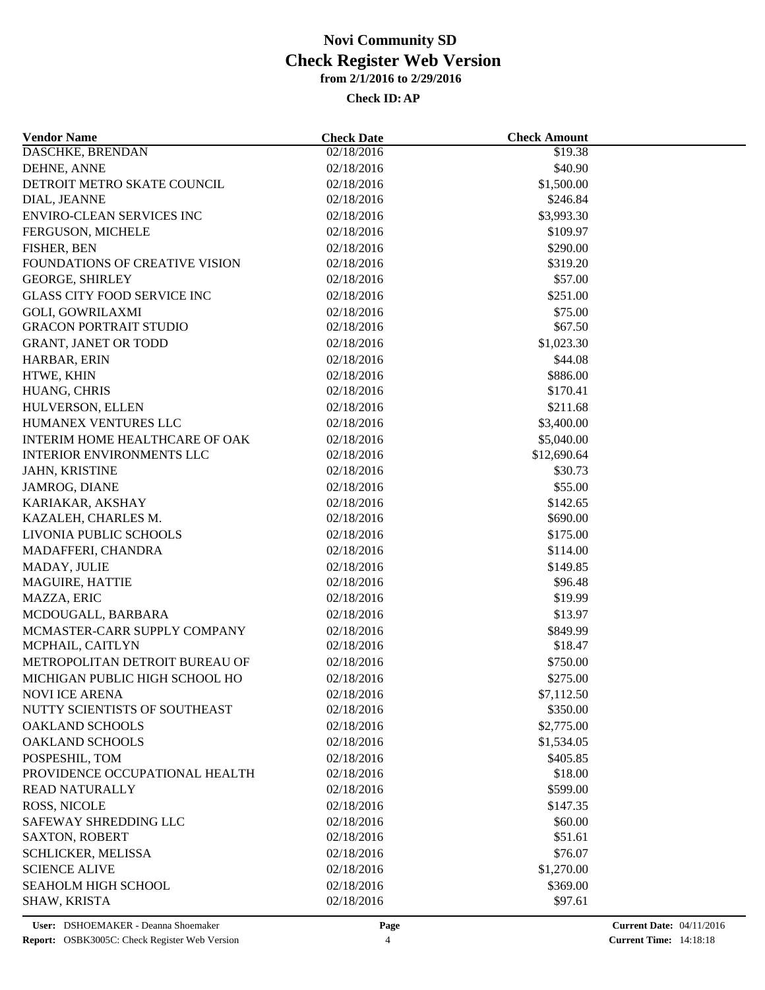| <b>Vendor Name</b>                      | <b>Check Date</b>        | <b>Check Amount</b>  |  |
|-----------------------------------------|--------------------------|----------------------|--|
| DASCHKE, BRENDAN                        | 02/18/2016               | \$19.38              |  |
| DEHNE, ANNE                             | 02/18/2016               | \$40.90              |  |
| DETROIT METRO SKATE COUNCIL             | 02/18/2016               | \$1,500.00           |  |
| DIAL, JEANNE                            | 02/18/2016               | \$246.84             |  |
| <b>ENVIRO-CLEAN SERVICES INC</b>        | 02/18/2016               | \$3,993.30           |  |
| FERGUSON, MICHELE                       | 02/18/2016               | \$109.97             |  |
| FISHER, BEN                             | 02/18/2016               | \$290.00             |  |
| FOUNDATIONS OF CREATIVE VISION          | 02/18/2016               | \$319.20             |  |
| <b>GEORGE, SHIRLEY</b>                  | 02/18/2016               | \$57.00              |  |
| <b>GLASS CITY FOOD SERVICE INC</b>      | 02/18/2016               | \$251.00             |  |
| <b>GOLI, GOWRILAXMI</b>                 | 02/18/2016               | \$75.00              |  |
| <b>GRACON PORTRAIT STUDIO</b>           | 02/18/2016               | \$67.50              |  |
| <b>GRANT, JANET OR TODD</b>             | 02/18/2016               | \$1,023.30           |  |
| HARBAR, ERIN                            | 02/18/2016               | \$44.08              |  |
| HTWE, KHIN                              | 02/18/2016               | \$886.00             |  |
| HUANG, CHRIS                            | 02/18/2016               | \$170.41             |  |
| HULVERSON, ELLEN                        | 02/18/2016               | \$211.68             |  |
| HUMANEX VENTURES LLC                    | 02/18/2016               | \$3,400.00           |  |
| INTERIM HOME HEALTHCARE OF OAK          | 02/18/2016               | \$5,040.00           |  |
| <b>INTERIOR ENVIRONMENTS LLC</b>        | 02/18/2016               | \$12,690.64          |  |
| JAHN, KRISTINE                          | 02/18/2016               | \$30.73              |  |
| JAMROG, DIANE                           | 02/18/2016               | \$55.00              |  |
|                                         |                          |                      |  |
| KARIAKAR, AKSHAY<br>KAZALEH, CHARLES M. | 02/18/2016<br>02/18/2016 | \$142.65<br>\$690.00 |  |
| LIVONIA PUBLIC SCHOOLS                  | 02/18/2016               | \$175.00             |  |
|                                         |                          | \$114.00             |  |
| MADAFFERI, CHANDRA                      | 02/18/2016               |                      |  |
| MADAY, JULIE                            | 02/18/2016               | \$149.85             |  |
| MAGUIRE, HATTIE                         | 02/18/2016               | \$96.48              |  |
| MAZZA, ERIC                             | 02/18/2016               | \$19.99              |  |
| MCDOUGALL, BARBARA                      | 02/18/2016               | \$13.97              |  |
| MCMASTER-CARR SUPPLY COMPANY            | 02/18/2016               | \$849.99             |  |
| MCPHAIL, CAITLYN                        | 02/18/2016               | \$18.47              |  |
| METROPOLITAN DETROIT BUREAU OF          | 02/18/2016               | \$750.00             |  |
| MICHIGAN PUBLIC HIGH SCHOOL HO          | 02/18/2016               | \$275.00             |  |
| NOVI ICE ARENA                          | 02/18/2016               | \$7,112.50           |  |
| NUTTY SCIENTISTS OF SOUTHEAST           | 02/18/2016               | \$350.00             |  |
| <b>OAKLAND SCHOOLS</b>                  | 02/18/2016               | \$2,775.00           |  |
| <b>OAKLAND SCHOOLS</b>                  | 02/18/2016               | \$1,534.05           |  |
| POSPESHIL, TOM                          | 02/18/2016               | \$405.85             |  |
| PROVIDENCE OCCUPATIONAL HEALTH          | 02/18/2016               | \$18.00              |  |
| <b>READ NATURALLY</b>                   | 02/18/2016               | \$599.00             |  |
| ROSS, NICOLE                            | 02/18/2016               | \$147.35             |  |
| SAFEWAY SHREDDING LLC                   | 02/18/2016               | \$60.00              |  |
| <b>SAXTON, ROBERT</b>                   | 02/18/2016               | \$51.61              |  |
| SCHLICKER, MELISSA                      | 02/18/2016               | \$76.07              |  |
| <b>SCIENCE ALIVE</b>                    | 02/18/2016               | \$1,270.00           |  |
| SEAHOLM HIGH SCHOOL                     | 02/18/2016               | \$369.00             |  |
| SHAW, KRISTA                            | 02/18/2016               | \$97.61              |  |
|                                         |                          |                      |  |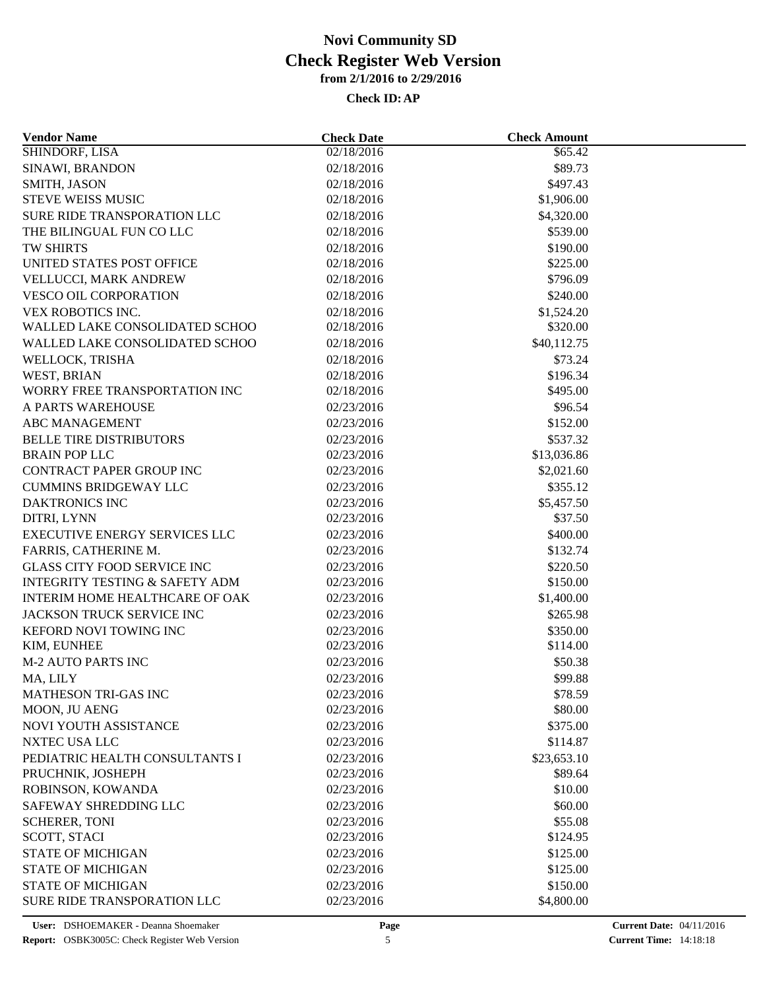| <b>Vendor Name</b>                        | <b>Check Date</b> | <b>Check Amount</b> |  |
|-------------------------------------------|-------------------|---------------------|--|
| SHINDORF, LISA                            | 02/18/2016        | \$65.42             |  |
| SINAWI, BRANDON                           | 02/18/2016        | \$89.73             |  |
| SMITH, JASON                              | 02/18/2016        | \$497.43            |  |
| STEVE WEISS MUSIC                         | 02/18/2016        | \$1,906.00          |  |
| SURE RIDE TRANSPORATION LLC               | 02/18/2016        | \$4,320.00          |  |
| THE BILINGUAL FUN CO LLC                  | 02/18/2016        | \$539.00            |  |
| <b>TW SHIRTS</b>                          | 02/18/2016        | \$190.00            |  |
| UNITED STATES POST OFFICE                 | 02/18/2016        | \$225.00            |  |
| VELLUCCI, MARK ANDREW                     | 02/18/2016        | \$796.09            |  |
| <b>VESCO OIL CORPORATION</b>              | 02/18/2016        | \$240.00            |  |
| VEX ROBOTICS INC.                         | 02/18/2016        | \$1,524.20          |  |
| WALLED LAKE CONSOLIDATED SCHOO            | 02/18/2016        | \$320.00            |  |
| WALLED LAKE CONSOLIDATED SCHOO            | 02/18/2016        | \$40,112.75         |  |
| WELLOCK, TRISHA                           | 02/18/2016        | \$73.24             |  |
| WEST, BRIAN                               | 02/18/2016        | \$196.34            |  |
| WORRY FREE TRANSPORTATION INC             | 02/18/2016        | \$495.00            |  |
| A PARTS WAREHOUSE                         | 02/23/2016        | \$96.54             |  |
| <b>ABC MANAGEMENT</b>                     | 02/23/2016        | \$152.00            |  |
| <b>BELLE TIRE DISTRIBUTORS</b>            | 02/23/2016        | \$537.32            |  |
| <b>BRAIN POP LLC</b>                      | 02/23/2016        | \$13,036.86         |  |
| CONTRACT PAPER GROUP INC                  | 02/23/2016        | \$2,021.60          |  |
| <b>CUMMINS BRIDGEWAY LLC</b>              | 02/23/2016        | \$355.12            |  |
| <b>DAKTRONICS INC</b>                     | 02/23/2016        | \$5,457.50          |  |
| DITRI, LYNN                               | 02/23/2016        | \$37.50             |  |
| <b>EXECUTIVE ENERGY SERVICES LLC</b>      | 02/23/2016        | \$400.00            |  |
| FARRIS, CATHERINE M.                      | 02/23/2016        | \$132.74            |  |
| <b>GLASS CITY FOOD SERVICE INC</b>        | 02/23/2016        | \$220.50            |  |
| <b>INTEGRITY TESTING &amp; SAFETY ADM</b> | 02/23/2016        | \$150.00            |  |
| INTERIM HOME HEALTHCARE OF OAK            | 02/23/2016        | \$1,400.00          |  |
| JACKSON TRUCK SERVICE INC                 | 02/23/2016        | \$265.98            |  |
| KEFORD NOVI TOWING INC                    | 02/23/2016        | \$350.00            |  |
| KIM, EUNHEE                               | 02/23/2016        | \$114.00            |  |
| <b>M-2 AUTO PARTS INC</b>                 | 02/23/2016        | \$50.38             |  |
| MA, LILY                                  | 02/23/2016        | \$99.88             |  |
| MATHESON TRI-GAS INC                      | 02/23/2016        | \$78.59             |  |
| MOON, JU AENG                             | 02/23/2016        | \$80.00             |  |
| NOVI YOUTH ASSISTANCE                     | 02/23/2016        | \$375.00            |  |
|                                           |                   |                     |  |
| NXTEC USA LLC                             | 02/23/2016        | \$114.87            |  |
| PEDIATRIC HEALTH CONSULTANTS I            | 02/23/2016        | \$23,653.10         |  |
| PRUCHNIK, JOSHEPH                         | 02/23/2016        | \$89.64             |  |
| ROBINSON, KOWANDA                         | 02/23/2016        | \$10.00             |  |
| SAFEWAY SHREDDING LLC                     | 02/23/2016        | \$60.00             |  |
| <b>SCHERER, TONI</b>                      | 02/23/2016        | \$55.08             |  |
| SCOTT, STACI                              | 02/23/2016        | \$124.95            |  |
| <b>STATE OF MICHIGAN</b>                  | 02/23/2016        | \$125.00            |  |
| <b>STATE OF MICHIGAN</b>                  | 02/23/2016        | \$125.00            |  |
| <b>STATE OF MICHIGAN</b>                  | 02/23/2016        | \$150.00            |  |
| SURE RIDE TRANSPORATION LLC               | 02/23/2016        | \$4,800.00          |  |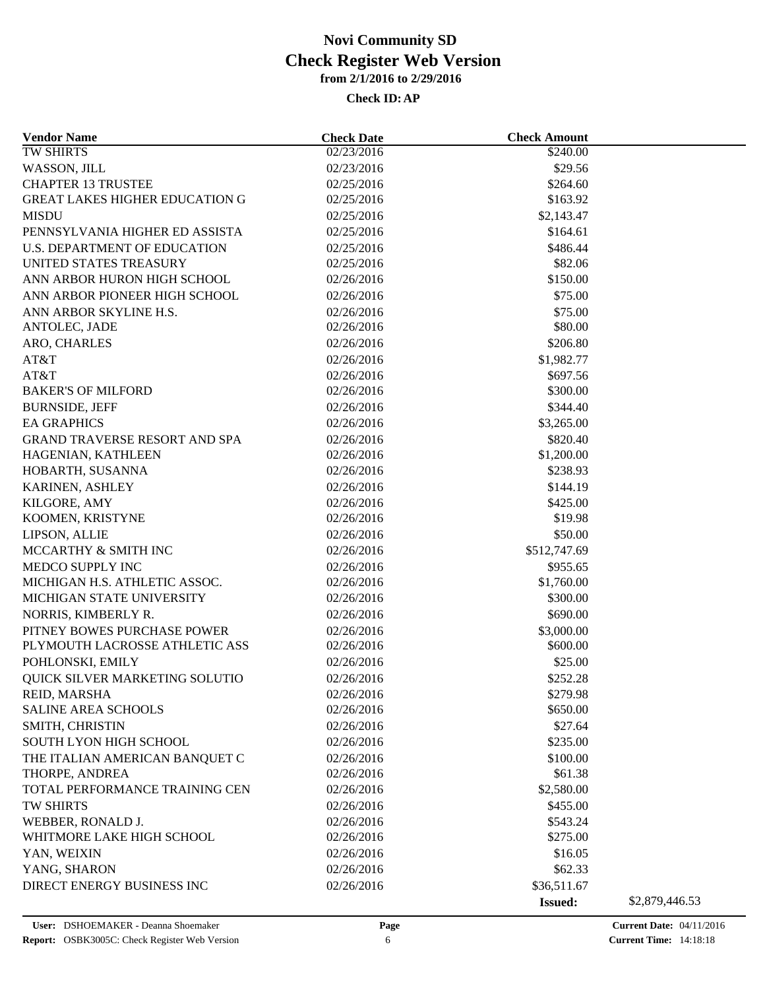| <b>Vendor Name</b>                    | <b>Check Date</b> | <b>Check Amount</b>  |                |
|---------------------------------------|-------------------|----------------------|----------------|
| <b>TW SHIRTS</b>                      | 02/23/2016        | $\overline{$}240.00$ |                |
| WASSON, JILL                          | 02/23/2016        | \$29.56              |                |
| <b>CHAPTER 13 TRUSTEE</b>             | 02/25/2016        | \$264.60             |                |
| <b>GREAT LAKES HIGHER EDUCATION G</b> | 02/25/2016        | \$163.92             |                |
| <b>MISDU</b>                          | 02/25/2016        | \$2,143.47           |                |
| PENNSYLVANIA HIGHER ED ASSISTA        | 02/25/2016        | \$164.61             |                |
| U.S. DEPARTMENT OF EDUCATION          | 02/25/2016        | \$486.44             |                |
| UNITED STATES TREASURY                | 02/25/2016        | \$82.06              |                |
| ANN ARBOR HURON HIGH SCHOOL           | 02/26/2016        | \$150.00             |                |
| ANN ARBOR PIONEER HIGH SCHOOL         | 02/26/2016        | \$75.00              |                |
| ANN ARBOR SKYLINE H.S.                | 02/26/2016        | \$75.00              |                |
| ANTOLEC, JADE                         | 02/26/2016        | \$80.00              |                |
| ARO, CHARLES                          | 02/26/2016        | \$206.80             |                |
| AT&T                                  | 02/26/2016        | \$1,982.77           |                |
|                                       |                   |                      |                |
| AT&T<br><b>BAKER'S OF MILFORD</b>     | 02/26/2016        | \$697.56<br>\$300.00 |                |
|                                       | 02/26/2016        |                      |                |
| <b>BURNSIDE, JEFF</b>                 | 02/26/2016        | \$344.40             |                |
| <b>EA GRAPHICS</b>                    | 02/26/2016        | \$3,265.00           |                |
| GRAND TRAVERSE RESORT AND SPA         | 02/26/2016        | \$820.40             |                |
| HAGENIAN, KATHLEEN                    | 02/26/2016        | \$1,200.00           |                |
| HOBARTH, SUSANNA                      | 02/26/2016        | \$238.93             |                |
| KARINEN, ASHLEY                       | 02/26/2016        | \$144.19             |                |
| KILGORE, AMY                          | 02/26/2016        | \$425.00             |                |
| KOOMEN, KRISTYNE                      | 02/26/2016        | \$19.98              |                |
| LIPSON, ALLIE                         | 02/26/2016        | \$50.00              |                |
| MCCARTHY & SMITH INC                  | 02/26/2016        | \$512,747.69         |                |
| MEDCO SUPPLY INC                      | 02/26/2016        | \$955.65             |                |
| MICHIGAN H.S. ATHLETIC ASSOC.         | 02/26/2016        | \$1,760.00           |                |
| MICHIGAN STATE UNIVERSITY             | 02/26/2016        | \$300.00             |                |
| NORRIS, KIMBERLY R.                   | 02/26/2016        | \$690.00             |                |
| PITNEY BOWES PURCHASE POWER           | 02/26/2016        | \$3,000.00           |                |
| PLYMOUTH LACROSSE ATHLETIC ASS        | 02/26/2016        | \$600.00             |                |
| POHLONSKI, EMILY                      | 02/26/2016        | \$25.00              |                |
| QUICK SILVER MARKETING SOLUTIO        | 02/26/2016        | \$252.28             |                |
| REID, MARSHA                          | 02/26/2016        | \$279.98             |                |
| <b>SALINE AREA SCHOOLS</b>            | 02/26/2016        | \$650.00             |                |
| SMITH, CHRISTIN                       | 02/26/2016        | \$27.64              |                |
| <b>SOUTH LYON HIGH SCHOOL</b>         | 02/26/2016        | \$235.00             |                |
| THE ITALIAN AMERICAN BANQUET C        | 02/26/2016        | \$100.00             |                |
| THORPE, ANDREA                        | 02/26/2016        | \$61.38              |                |
| TOTAL PERFORMANCE TRAINING CEN        | 02/26/2016        | \$2,580.00           |                |
| TW SHIRTS                             | 02/26/2016        | \$455.00             |                |
| WEBBER, RONALD J.                     | 02/26/2016        | \$543.24             |                |
| WHITMORE LAKE HIGH SCHOOL             | 02/26/2016        | \$275.00             |                |
| YAN, WEIXIN                           | 02/26/2016        | \$16.05              |                |
|                                       |                   |                      |                |
| YANG, SHARON                          | 02/26/2016        | \$62.33              |                |
| DIRECT ENERGY BUSINESS INC            | 02/26/2016        | \$36,511.67          |                |
|                                       |                   | <b>Issued:</b>       | \$2,879,446.53 |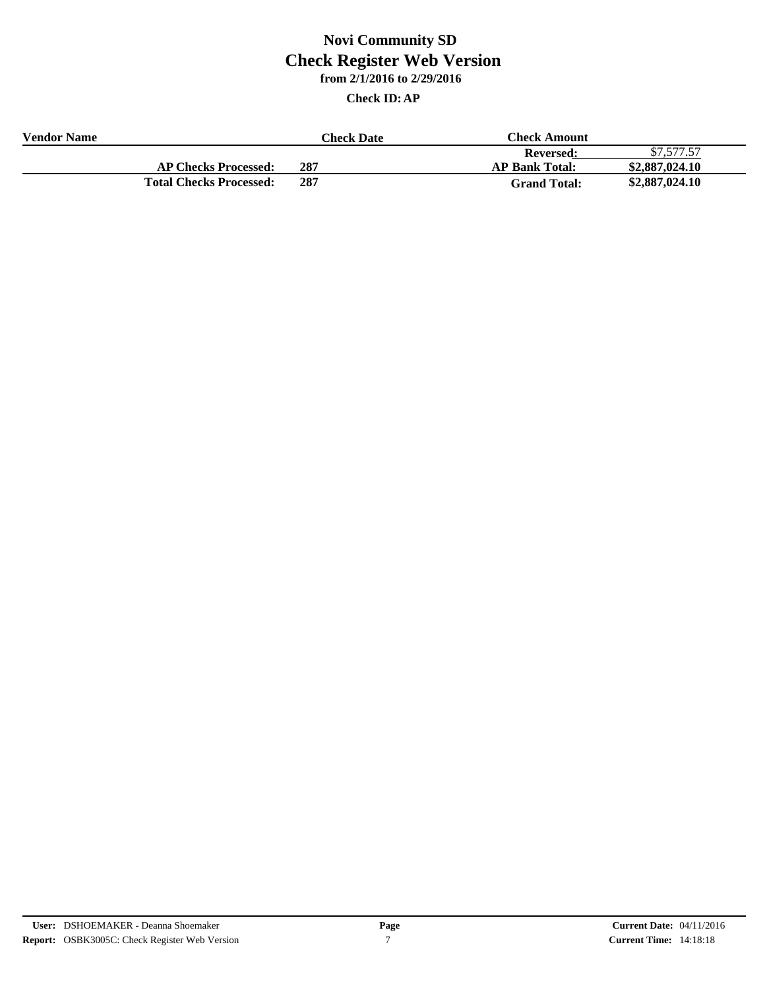| <b>Vendor Name</b> |                                | Check Date | Check Amount          |                |
|--------------------|--------------------------------|------------|-----------------------|----------------|
|                    |                                |            | <b>Reversed:</b>      | \$7,577.57     |
|                    | <b>AP Checks Processed:</b>    | 287        | <b>AP Bank Total:</b> | \$2,887,024.10 |
|                    | <b>Total Checks Processed:</b> | 287        | <b>Grand Total:</b>   | \$2,887,024.10 |